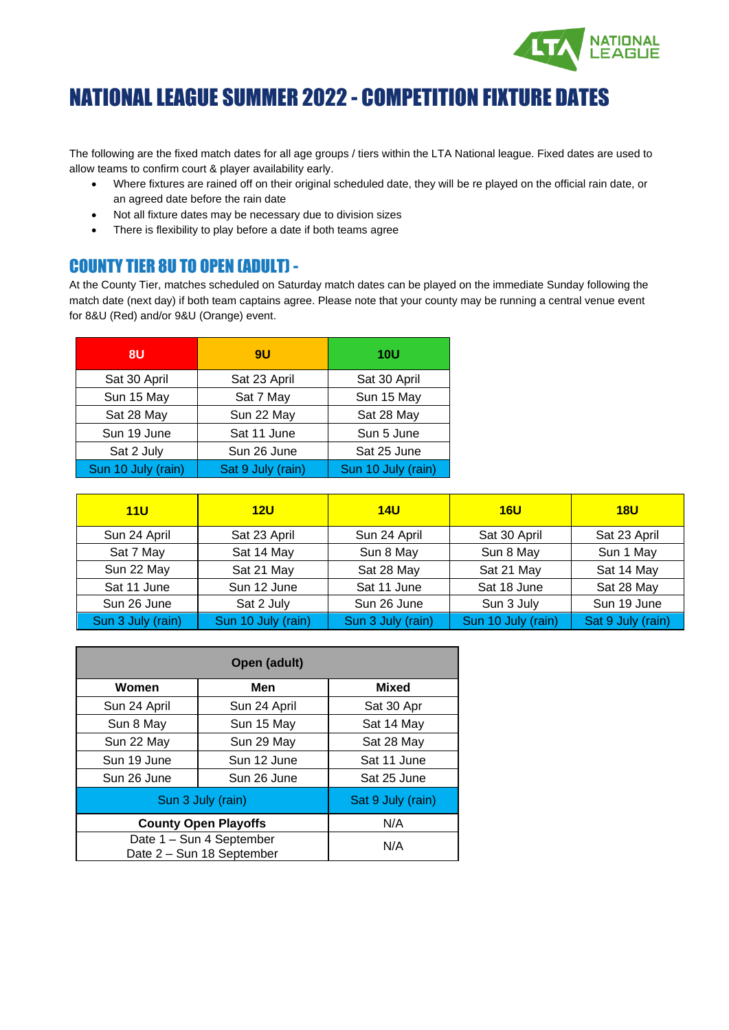

# NATIONAL LEAGUE SUMMER 2022 - COMPETITION FIXTURE DATES

The following are the fixed match dates for all age groups / tiers within the LTA National league. Fixed dates are used to allow teams to confirm court & player availability early.

- Where fixtures are rained off on their original scheduled date, they will be re played on the official rain date, or an agreed date before the rain date
- Not all fixture dates may be necessary due to division sizes
- There is flexibility to play before a date if both teams agree

#### COUNTY TIER 8U TO OPEN (ADULT) -

At the County Tier, matches scheduled on Saturday match dates can be played on the immediate Sunday following the match date (next day) if both team captains agree. Please note that your county may be running a central venue event for 8&U (Red) and/or 9&U (Orange) event.

| 8U                 | <b>9U</b>         | <b>10U</b>         |
|--------------------|-------------------|--------------------|
| Sat 30 April       | Sat 23 April      | Sat 30 April       |
| Sun 15 May         | Sat 7 May         | Sun 15 May         |
| Sat 28 May         | Sun 22 May        | Sat 28 May         |
| Sun 19 June        | Sat 11 June       | Sun 5 June         |
| Sat 2 July         | Sun 26 June       | Sat 25 June        |
| Sun 10 July (rain) | Sat 9 July (rain) | Sun 10 July (rain) |

| 11U               | 12U                | 14U               | 16U                | 18U               |
|-------------------|--------------------|-------------------|--------------------|-------------------|
| Sun 24 April      | Sat 23 April       | Sun 24 April      | Sat 30 April       | Sat 23 April      |
| Sat 7 May         | Sat 14 May         | Sun 8 May         | Sun 8 May          | Sun 1 May         |
| Sun 22 May        | Sat 21 May         | Sat 28 May        | Sat 21 May         | Sat 14 May        |
| Sat 11 June       | Sun 12 June        | Sat 11 June       | Sat 18 June        | Sat 28 May        |
| Sun 26 June       | Sat 2 July         | Sun 26 June       | Sun 3 July         | Sun 19 June       |
| Sun 3 July (rain) | Sun 10 July (rain) | Sun 3 July (rain) | Sun 10 July (rain) | Sat 9 July (rain) |

|                                                       | Open (adult)                |                   |  |
|-------------------------------------------------------|-----------------------------|-------------------|--|
| Women                                                 | Men                         | <b>Mixed</b>      |  |
| Sun 24 April                                          | Sun 24 April                | Sat 30 Apr        |  |
| Sun 8 May                                             | Sun 15 May                  | Sat 14 May        |  |
| Sun 22 May                                            | Sun 29 May                  | Sat 28 May        |  |
| Sun 19 June                                           | Sun 12 June                 | Sat 11 June       |  |
| Sun 26 June                                           | Sun 26 June                 | Sat 25 June       |  |
| Sun 3 July (rain)                                     |                             | Sat 9 July (rain) |  |
|                                                       | <b>County Open Playoffs</b> | N/A               |  |
| Date 1 - Sun 4 September<br>Date 2 - Sun 18 September |                             | N/A               |  |